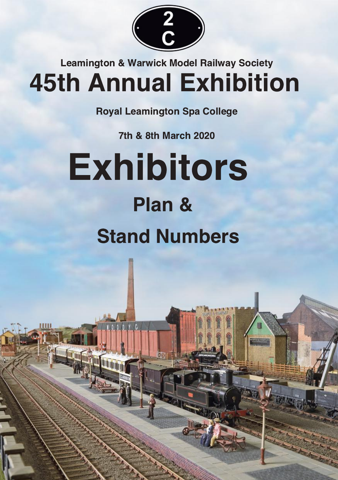

## **Leamington & Warwick Model Railway Society 45th Annual Exhibition**

**Royal Leamington Spa College** 

**7th & 8th March 2020** 

# **Exhibitors** Plan & **Stand Numbers**

**AND AND AND I**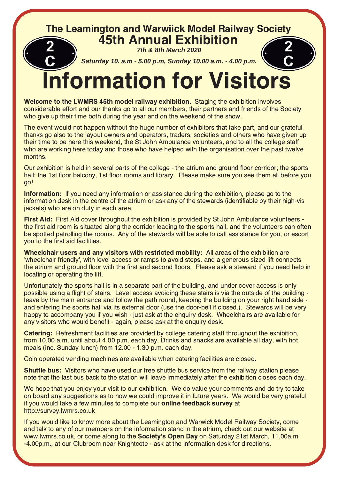## The Leamington and Warwiick Model Railway Society 45th Annual Exhibition

**7th & 8th March 2020**

**Saturday 10. a.m - 5.00 p.m, Sunday 10.00 a.m. - 4.00 p.m.**



## **Information for Visitors**

**Welcome to the LWMRS 45th model railway exhibition.** Staging the exhibition involves considerable effort and our thanks go to all our members, their partners and friends of the Society who give up their time both during the year and on the weekend of the show.

The event would not happen without the huge number of exhibitors that take part, and our grateful thanks go also to the layout owners and operators, traders, societies and others who have given up their time to be here this weekend, the St John Ambulance volunteers, and to all the college staff who are working here today and those who have helped with the organisation over the past twelve months

Our exhibition is held in several parts of the college - the atrium and ground floor corridor; the sports hall; the 1st floor balcony, 1st floor rooms and library. Please make sure you see them all before you go!

Information: If you need any information or assistance during the exhibition, please go to the information desk in the centre of the atrium or ask any of the stewards (identifiable by their high-vis iackets) who are on duty in each area.

First Aid: First Aid cover throughout the exhibition is provided by St John Ambulance volunteers the first aid room is situated along the corridor leading to the sports hall, and the volunteers can often be spotted patrolling the rooms. Any of the stewards will be able to call assistance for you, or escort you to the first aid facilities.

Wheelchair users and any visitors with restricted mobility: All areas of the exhibition are 'wheelchair friendly', with level access or ramps to avoid steps, and a generous sized lift connects the atrium and ground floor with the first and second floors. Please ask a steward if you need help in locating or operating the lift.

Unfortunately the sports hall is in a separate part of the building, and under cover access is only possible using a flight of stairs. Level access avoiding these stairs is via the outside of the building leave by the main entrance and follow the path round, keeping the building on your right hand side and entering the sports hall via its external door (use the door-bell if closed.). Stewards will be very happy to accompany you if you wish - just ask at the enguiry desk. Wheelchairs are available for any visitors who would benefit - again, please ask at the enquiry desk.

Catering: Refreshment facilities are provided by college catering staff throughout the exhibition, from 10.00 a.m. until about 4.00 p.m. each day. Drinks and snacks are available all day, with hot meals (inc. Sunday lunch) from 12.00 - 1.30 p.m. each day.

Coin operated vending machines are available when catering facilities are closed.

Shuttle bus: Visitors who have used our free shuttle bus service from the railway station please note that the last bus back to the station will leave immediately after the exhibition closes each day.

We hope that you enjoy your visit to our exhibition. We do value your comments and do try to take on board any suggestions as to how we could improve it in future years. We would be very grateful if you would take a few minutes to complete our **online feedback survey** at http://survey.lwmrs.co.uk

If you would like to know more about the Leamington and Warwick Model Railway Society, come and talk to any of our members on the information stand in the atrium, check out our website at www.lwmrs.co.uk, or come along to the **Society's Open Day** on Saturday 21st March, 11.00a.m -4.00p.m., at our Clubroom near Knightcote - ask at the information desk for directions.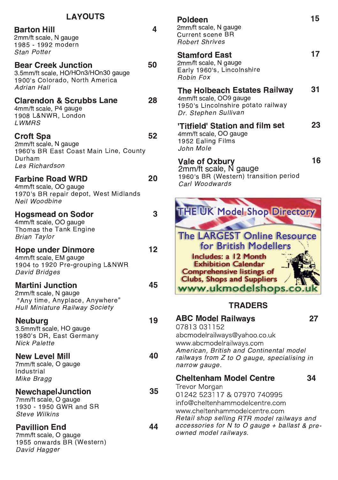#### **I AYOUTS**

#### Barton Hill **7954** 4 2mm/ft scale. N gauge

1985 - 1992 modern Stan Potter

## Bear Creek Junction 50

3.5mm/ft scale, HO/HOn3/HOn30 gauge 1900's Colorado, North America Adrian Hall

## Clarendon & Scrubbs Lane 28

4mm/ft scale. P4 gauge 1908 L&NWR, London **LWMRS** 

#### Croft Spa 62

2mm/ft scale. N gauge 1960's BR East Coast Main Line, County Durham Les Richardson

### Farbine Road WRD 20

4mm/ft scale, OO gauge 1970's BR repair depot, West Midlands Neil Woodbine

#### Hogsmead on Sodor **54 and 54 3**

4mm/ft scale, OO gauge Thomas the Tank Engine Brian Tavlor

## Hope under Dinmore 12

4mm/ft scale. EM gauge 1904 to 1920 Pre-grouping L&NWR David Bridges

#### **Martini Junction**

2mm/ft scale. N gauge "Any time, Anyplace, Anywhere" Hull Miniature Railway Society

#### Neuburg 19 3.5mm/ft scale, HO gauge 1980's DR, East Germany Nick Palette

## **New Level Mill**

7mm/ft scale, O gauge Industrial Mike Bragg

#### NewchapelJunction 35 7mm/ft scale. O gauge

1930 - 1950 GWR and SR Steve Wilkins

#### **Pavillion End**

7mm/ft scale, O gauge 1955 onwards BR (Western) David Hagger

## Poldeen 15

2mm/ft scale, N gauge Current scene BR  $Bobert Shrives$ 

#### Stamford East 17 2mm/ft scale, N gauge Early 1960's, Lincolnshire

Bobin Fox

## The Holbeach Estates Railway 31

4mm/ft scale, OO9 gauge 1950's Lincolnshire potato railway Dr. Stephen Sullivan

#### "Titfield" Station and film set 23 4mm/ft scale. OO gauge

1952 Ealing Films John Mole

### Vale of Oxbury 16

45

40

44

2mm/ft scale. N gauge 1960's BR (Western) transition period Carl Woodwards



#### **TRADERS**

#### 5+,2 !(02<(>8 abcmodelrailways@yahoo.co.uk www.abcmodelrailwavs.com American, British and Continental model  $r$ ailways from  $Z$  to  $O$  gauge, specialising in narrow gauge. Cheltenham Model Centre 34 **Trevor Morgan** 01242 523117 & 07970 740995 info@cheltenhammodelcentre.com www.cheltenhammodelcentre.com Retail shop selling RTR model railways and accessories for N to O gauge  $+$  ballast & preowned model railways.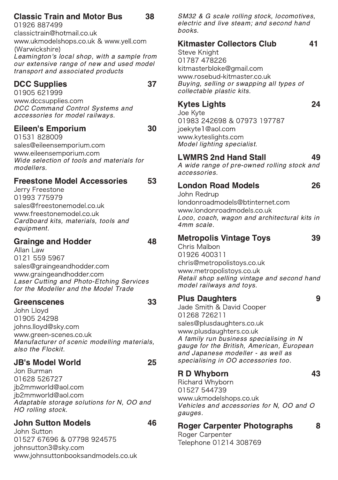#### **Classic Train and Motor Bus** 38

01926 887499 classictrain@hotmail.co.uk www.ukmodelshops.co.uk & www.vell.com (Warwickshire) Leamington's local shop, with a sample from our extensive range of new and used model transport and associated products

#### **DCC Supplies**

37

01905 621999 www.dccsupplies.com DCC Command Control Systems and accessories for model railways.

#### **Eileen's Emporium**

30

53

01531828009 sales@eileensemporium.com www.eileensemporium.com Wide selection of tools and materials for modellers.

#### **Freestone Model Accessories**

Jerry Freestone 01993 775979 sales@freestonemodel.co.uk www.freestonemodel.co.uk Cardboard kits, materials, tools and equipment.

#### **Grainge and Hodder**

48

Allan Law 0121 559 5967 sales@graingeandhodder.com www.graingeandhodder.com Laser Cutting and Photo-Etching Services for the Modeller and the Model Trade

#### **Greenscenes**

John Llovd 01905 24298 johns.lloyd@sky.com www.areen-scenes.co.uk Manufacturer of scenic modelling materials, also the Flockit.

### **JB's Model World**

25

46

33

Jon Burman 01628 526727 ib2mmworld@aol.com jb2mmworld@aol.com Adaptable storage solutions for N. OO and HO rolling stock.

#### **John Sutton Models**

John Sutton 01527 67696 & 07798 924575 johnsutton3@sky.com www.iohnsuttonbooksandmodels.co.uk SM32 & G scale rolling stock, locomotives, electric and live steam: and second hand hooks

#### **Kitmaster Collectors Club** 41

**Steve Knight** 01787 478226 kitmasterbloke@gmail.com www.rosebud-kitmaster.co.uk Buving, selling or swapping all types of collectable plastic kits.

## **Kytes Lights**

24

26

39

9

Joe Kyte 01983 242698 & 07973 197787 joekyte1@aol.com www.kvteslights.com Model lighting specialist.

#### **LWMRS 2nd Hand Stall** 49

A wide range of pre-owned rolling stock and accessories.

#### **London Road Models** John Redrup

londonroadmodels@btinternet.com

www.londonroadmodels.co.uk Loco, coach, wagon and architectural kits in 4mm scale.

#### **Metropolis Vintage Toys**

Chris Malbon 01926 400311 chris@metropolistoys.co.uk www.metropolistoys.co.uk Retail shop selling vintage and second hand model railways and toys.

#### **Plus Daughters**

Jade Smith & David Cooper 01268 726211 sales@plusdaughters.co.uk www.plusdaughters.co.uk A family run business specialising in N gauge for the British, American, European and Japanese modeller - as well as specialising in OO accessories too.

#### **RD Whyborn**

Richard Whyborn 01527 544739 www.ukmodelshops.co.uk Vehicles and accessories for N, OO and O gauges.

#### **Roger Carpenter Photographs** 8

Roger Carpenter Telephone 01214 308769 43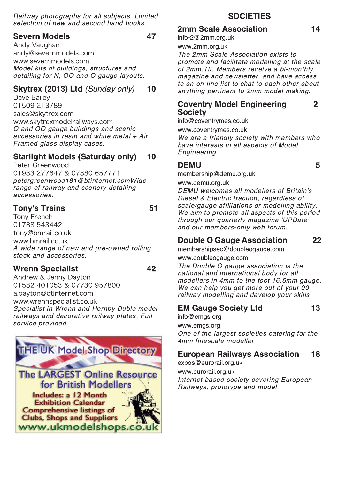Railway photographs for all subjects. Limited selection of new and second hand books.

#### **Severn Models**

47

Andy Vaughan andy@severnmodels.com www.severnmodels.com Model kits of buildings, structures and detailing for N, OO and O gauge layouts.

#### Skytrex (2013) Ltd (Sunday only)  $10$

Dave Bailev 01509 213789 sales@skvtrex.com www.skytrexmodelrailways.com O and OO gauge buildings and scenic accessories in resin and white metal + Air Framed glass display cases.

#### **Starlight Models (Saturday only)** 10

Peter Greenwood 01933 277647 & 07880 657771 peterareenwood181@btinternet.comWide range of railway and scenery detailing accessories.

#### **Tony's Trains**

 $51$ 

Tony French 01788 543442 tony@bmrail.co.uk www.bmrail.co.uk A wide range of new and pre-owned rolling stock and accessories.

#### **Wrenn Specialist**

42

Andrew & Jenny Dayton 01582 401053 & 07730 957800 a.dayton@btinternet.com www.wrennspecialist.co.uk Specialist in Wrenn and Hornby Dublo model railways and decorative railway plates. Full service provided.



#### **SOCIETIES**

#### 2mm Scale Association

info-2@2mm.org.uk

#### www.2mm.org.uk

The 2mm Scale Association exists to promote and facilitate modelling at the scale of 2mm:1ft. Members receive a bi-monthly magazine and newsletter, and have access to an on-line list to chat to each other about anything pertinent to 2mm model making.

#### **Coventry Model Engineering**  $\mathbf{2}$ **Society**

info@coventrymes.co.uk

www.coventrymes.co.uk

We are a friendly society with members who have interests in all aspects of Model Engineering

#### **DEMU**

membership@demu.org.uk

www.demu.org.uk

DEMU welcomes all modellers of Britain's Diesel & Electric traction, regardless of scale/gauge affiliations or modelling ability. We aim to promote all aspects of this period through our quarterly magazine 'UPDate' and our members-only web forum.

#### **Double O Gauge Association**

membershipsec@doubleogauge.com

www.doubleogauge.com

The Double O gauge association is the national and international body for all modellers in 4mm to the foot 16.5mm gauge. We can help you get more out of your 00 railway modelling and develop your skills

#### **EM Gauge Society Ltd**

info@emgs.org www.emgs.org One of the largest societies catering for the 4mm finescale modeller

#### **European Railwavs Association** 18

expos@eurorail.org.uk www.eurorail.org.uk Internet based society covering European Railways, prototype and model

5

22

13